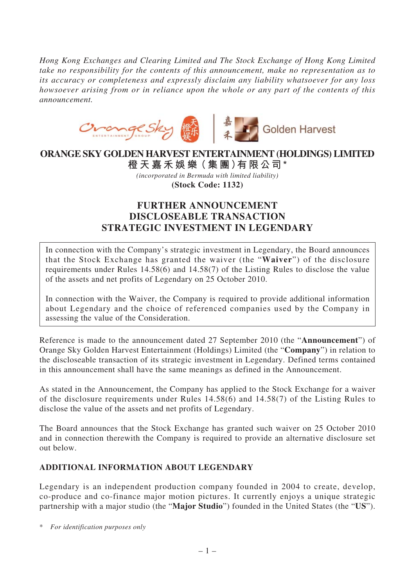*Hong Kong Exchanges and Clearing Limited and The Stock Exchange of Hong Kong Limited take no responsibility for the contents of this announcement, make no representation as to its accuracy or completeness and expressly disclaim any liability whatsoever for any loss howsoever arising from or in reliance upon the whole or any part of the contents of this announcement.*



## **ORANGE SKY GOLDEN HARVEST ENTERTAINMENT (HOLDINGS) LIMITED**

**橙 天 嘉禾娛 樂(集 團)有限公司\*** *(incorporated in Bermuda with limited liability)* **(Stock Code: 1132)**

## **FURTHER ANNOUNCEMENT DISCLOSEABLE TRANSACTION STRATEGIC INVESTMENT IN LEGENDARY**

In connection with the Company's strategic investment in Legendary, the Board announces that the Stock Exchange has granted the waiver (the "**Waiver**") of the disclosure requirements under Rules 14.58(6) and 14.58(7) of the Listing Rules to disclose the value of the assets and net profits of Legendary on 25 October 2010.

In connection with the Waiver, the Company is required to provide additional information about Legendary and the choice of referenced companies used by the Company in assessing the value of the Consideration.

Reference is made to the announcement dated 27 September 2010 (the "**Announcement**") of Orange Sky Golden Harvest Entertainment (Holdings) Limited (the "**Company**") in relation to the discloseable transaction of its strategic investment in Legendary. Defined terms contained in this announcement shall have the same meanings as defined in the Announcement.

As stated in the Announcement, the Company has applied to the Stock Exchange for a waiver of the disclosure requirements under Rules 14.58(6) and 14.58(7) of the Listing Rules to disclose the value of the assets and net profits of Legendary.

The Board announces that the Stock Exchange has granted such waiver on 25 October 2010 and in connection therewith the Company is required to provide an alternative disclosure set out below.

## **ADDITIONAL INFORMATION ABOUT LEGENDARY**

Legendary is an independent production company founded in 2004 to create, develop, co-produce and co-finance major motion pictures. It currently enjoys a unique strategic partnership with a major studio (the "**Major Studio**") founded in the United States (the "**US**").

\* *For identification purposes only*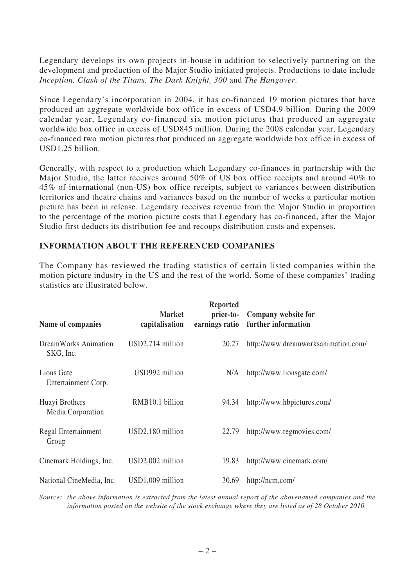Legendary develops its own projects in-house in addition to selectively partnering on the development and production of the Major Studio initiated projects. Productions to date include *Inception, Clash of the Titans, The Dark Knight, 300* and *The Hangover*.

Since Legendary's incorporation in 2004, it has co-financed 19 motion pictures that have produced an aggregate worldwide box office in excess of USD4.9 billion. During the 2009 calendar year, Legendary co-financed six motion pictures that produced an aggregate worldwide box office in excess of USD845 million. During the 2008 calendar year, Legendary co-financed two motion pictures that produced an aggregate worldwide box office in excess of USD1.25 billion.

Generally, with respect to a production which Legendary co-finances in partnership with the Major Studio, the latter receives around 50% of US box office receipts and around 40% to 45% of international (non-US) box office receipts, subject to variances between distribution territories and theatre chains and variances based on the number of weeks a particular motion picture has been in release. Legendary receives revenue from the Major Studio in proportion to the percentage of the motion picture costs that Legendary has co-financed, after the Major Studio first deducts its distribution fee and recoups distribution costs and expenses.

## **INFORMATION ABOUT THE REFERENCED COMPANIES**

The Company has reviewed the trading statistics of certain listed companies within the motion picture industry in the US and the rest of the world. Some of these companies' trading statistics are illustrated below.

| Name of companies                   | <b>Market</b><br>capitalisation | <b>Reported</b><br>price-to-<br>earnings ratio | Company website for<br>further information |
|-------------------------------------|---------------------------------|------------------------------------------------|--------------------------------------------|
| DreamWorks Animation<br>SKG, Inc.   | USD2,714 million                | 20.27                                          | http://www.dreamworksanimation.com/        |
| Lions Gate<br>Entertainment Corp.   | USD992 million                  | N/A                                            | http://www.lionsgate.com/                  |
| Huayi Brothers<br>Media Corporation | RMB10.1 billion                 | 94.34                                          | http://www.hbpictures.com/                 |
| Regal Entertainment<br>Group        | USD2,180 million                | 22.79                                          | http://www.regmovies.com/                  |
| Cinemark Holdings, Inc.             | USD2,002 million                | 19.83                                          | http://www.cinemark.com/                   |
| National CineMedia, Inc.            | USD1,009 million                | 30.69                                          | http://ncm.com/                            |

*Source: the above information is extracted from the latest annual report of the abovenamed companies and the information posted on the website of the stock exchange where they are listed as of 28 October 2010.*